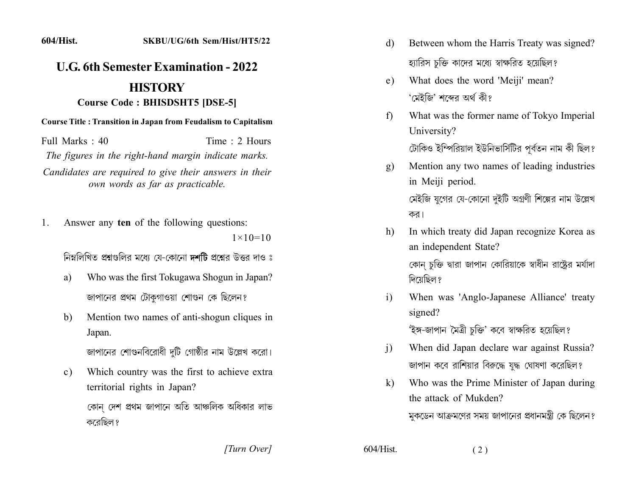## **U.G. 6th Semester Examination - 2022 HISTORY Course Code: BHISDSHT5 [DSE-5]**

**Course Title: Transition in Japan from Feudalism to Capitalism** 

Full Marks: 40 Time: 2 Hours The figures in the right-hand margin indicate marks.

Candidates are required to give their answers in their own words as far as practicable.

Answer any ten of the following questions: 1.  $1 \times 10 = 10$ 

নিম্নলিখিত প্রশ্নগুলির মধ্যে যে-কোনো দশটি প্রশ্নের উত্তর দাও ঃ

- Who was the first Tokugawa Shogun in Japan? a) জাপানের প্রথম টোকগাওয়া শোগুন কে ছিলেন?
- Mention two names of anti-shogun cliques in  $b)$ Japan.

জাপানের শোগুনবিরোধী দুটি গোষ্ঠীর নাম উল্লেখ করো।

Which country was the first to achieve extra  $c)$ territorial rights in Japan?

কোন দেশ প্ৰথম জাপানে অতি আঞ্চলিক অধিকার লাভ করেছিল ?

[Turn Over]

- Between whom the Harris Treaty was signed? d) হ্যারিস চক্তি কাদের মধ্যে স্বাক্ষরিত হয়েছিল?
- What does the word 'Meiji' mean?  $e)$ 'মেইজি' শব্দের অর্থ কী?
- What was the former name of Tokyo Imperial  $f$ University?

টোকিও ইম্পিরিয়াল ইউনিভার্সিটির পূর্বতন নাম কী ছিল?

- Mention any two names of leading industries  $g)$ in Meiji period. মেইজি যুগের যে-কোনো দুইটি অগ্রণী শিল্পের নাম উল্লেখ কর।
- In which treaty did Japan recognize Korea as h) an independent State?

কোন চুক্তি দ্বারা জাপান কোরিয়াকে স্বাধীন রাষ্ট্রের মর্যাদা দিয়েছিল ?

When was 'Anglo-Japanese Alliance' treaty  $i)$ signed?

'ইঙ্গ-জাপান মৈত্ৰী চুক্তি' কবে স্বাক্ষরিত হয়েছিল?

- When did Japan declare war against Russia?  $\overline{1}$ জাপান কবে রাশিয়ার বিরুদ্ধে যদ্ধ ঘোষণা করেছিল?
- Who was the Prime Minister of Japan during  $k)$ the attack of Mukden?

মুকডেন আক্রমণের সময় জাপানের প্রধানমন্ত্রী কে ছিলেন?

 $604/H$ ist.

 $(2)$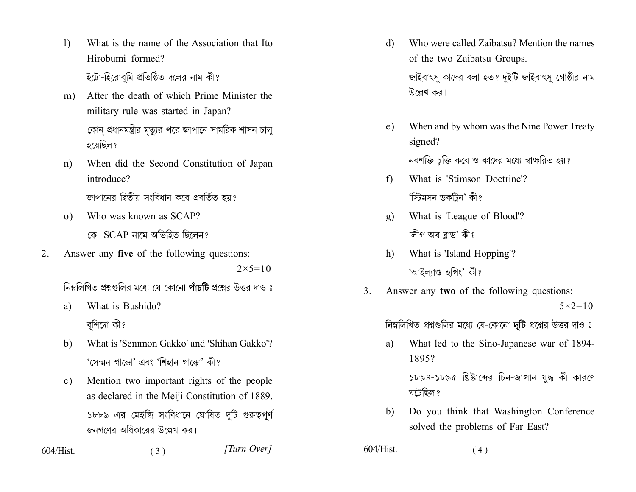- What is the name of the Association that Ito  $\mathbf{I}$ Hirobumi formed? ইটো-হিরোবমি প্রতিষ্ঠিত দলের নাম কী?
- After the death of which Prime Minister the  $m$ ) military rule was started in Japan? কোন প্রধানমন্ত্রীর মত্যর পরে জাপানে সামরিক শাসন চাল হয়েছিল ?
- When did the Second Constitution of Japan  $n)$ introduce?

জাপানের দ্বিতীয় সংবিধান কবে প্রবর্তিত হয়?

Who was known as SCAP?  $(0)$ 

কে SCAP নামে অভিহিত ছিলেন?

 $2.$ Answer any five of the following questions:  $2 \times 5 = 10$ 

নিম্নলিখিত প্রশ্নগুলির মধ্যে যে-কোনো পাঁচটি প্রশ্নের উত্তর দাও ঃ

- What is Bushido? a) বুশিদো কী?
- What is 'Semmon Gakko' and 'Shihan Gakko'? b) 'সেম্মন গাক্কো' এবং 'শিহান গাক্কো' কী?
- Mention two important rights of the people  $c)$ as declared in the Meiji Constitution of 1889. ১৮৮৯ এর মেইজি সংবিধানে ঘোষিত দুটি গুরুত্বপূর্ণ জনগণের অধিকারের উল্লেখ কর।

 $(3)$ 

 $604/Hist$ 

[Turn Over]

- Who were called Zaibatsu? Mention the names d) of the two Zaibatsu Groups. জাইবাৎসু কাদের বলা হত? দুইটি জাইবাৎসু গোষ্ঠীর নাম উল্লেখ কর।
- When and by whom was the Nine Power Treaty  $e)$ signed? নবশক্তি চুক্তি কবে ও কাদের মধ্যে স্বাক্ষরিত হয়?
- What is 'Stimson Doctrine'?  $f$ 'স্টিমসন ডকটিন' কী?
- What is 'League of Blood'?  $\mathbf{g}$ ) 'লীগ অব ব্লাড' কী?
- What is 'Island Hopping'?  $h)$ 'আইল্যাণ্ড হপিং' কী?
- $3<sub>1</sub>$ Answer any two of the following questions:

 $5 \times 2 = 10$ 

নিম্নলিখিত প্রশ্নগুলির মধ্যে যে-কোনো দুটি প্রশ্নের উত্তর দাও ঃ

What led to the Sino-Japanese war of 1894a) 1895?

> ১৮৯৪-১৮৯৫ খ্রিষ্টাব্দের চিন-জাপান যুদ্ধ কী কারণে ঘটেছিল ?

Do you think that Washington Conference b) solved the problems of Far East?

 $604/H$ ist.  $(4)$